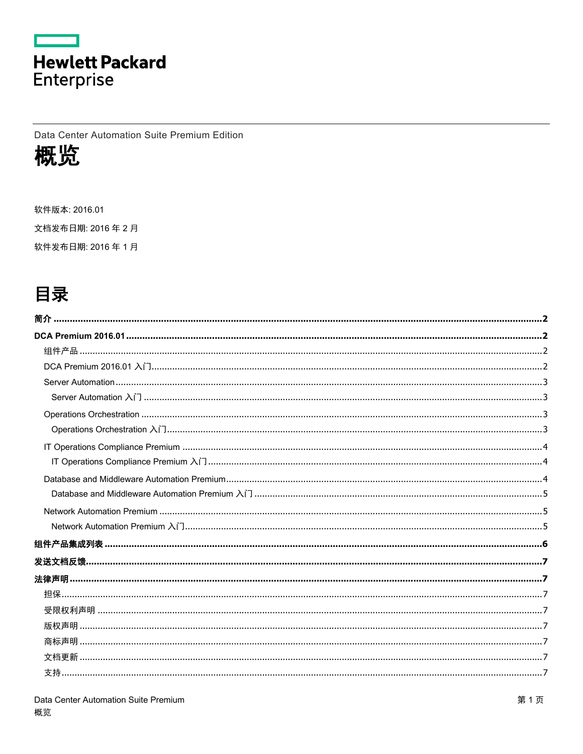

Data Center Automation Suite Premium Edition



软件版本: 2016.01 文档发布日期: 2016年2月 软件发布日期: 2016年1月

## 目录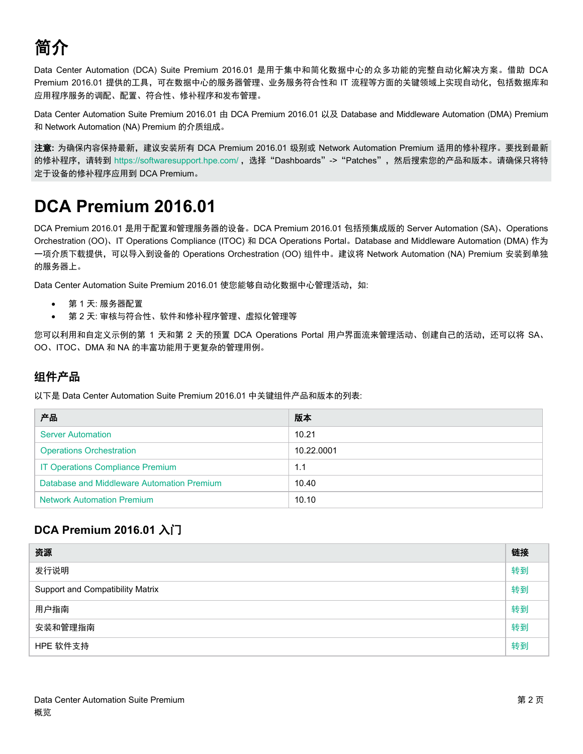# <span id="page-1-0"></span>简介

Data Center Automation (DCA) Suite Premium 2016.01 是用于集中和简化数据中心的众多功能的完整自动化解决方案。借助 DCA Premium 2016.01 提供的工具,可在数据中心的服务器管理、业务服务符合性和 IT 流程等方面的关键领域上实现自动化,包括数据库和 应用程序服务的调配、配置、符合性、修补程序和发布管理。

Data Center Automation Suite Premium 2016.01 由 DCA Premium 2016.01 以及 Database and Middleware Automation (DMA) Premium 和 Network Automation (NA) Premium 的介质组成。

注意**:** 为确保内容保持最新,建议安装所有 DCA Premium 2016.01 级别或 Network Automation Premium 适用的修补程序。要找到最新 的修补程序,请转到 <https://softwaresupport.hpe.com/>, 选择"Dashboards"->"Patches", 然后搜索您的产品和版本。请确保只将特 定于设备的修补程序应用到 DCA Premium。

## <span id="page-1-1"></span>**DCA Premium 2016.01**

DCA Premium 2016.01 是用于配置和管理服务器的设备。DCA Premium 2016.01 包括预集成版的 Server Automation (SA)、Operations Orchestration (OO)、IT Operations Compliance (ITOC) 和 DCA Operations Portal。Database and Middleware Automation (DMA) 作为 一项介质下载提供,可以导入到设备的 Operations Orchestration (OO) 组件中。建议将 Network Automation (NA) Premium 安装到单独 的服务器上。

Data Center Automation Suite Premium 2016.01 使您能够自动化数据中心管理活动, 如:

- 第 1 天: 服务器配置
- 第 2 天: 审核与符合性、软件和修补程序管理、虚拟化管理等

您可以利用和自定义示例的第 1 天和第 2 天的预置 DCA Operations Portal 用户界面流来管理活动、创建自己的活动,还可以将 SA、 OO、ITOC、DMA 和 NA 的丰富功能用于更复杂的管理用例。

### <span id="page-1-2"></span>组件产品

以下是 Data Center Automation Suite Premium 2016.01 中关键组件产品和版本的列表:

| 产品                                         | 版本         |
|--------------------------------------------|------------|
| <b>Server Automation</b>                   | 10.21      |
| <b>Operations Orchestration</b>            | 10.22.0001 |
| IT Operations Compliance Premium           | 1.1        |
| Database and Middleware Automation Premium | 10.40      |
| <b>Network Automation Premium</b>          | 10.10      |

## <span id="page-1-3"></span>**DCA Premium 2016.01** 入门

| 资源                                      | 链接 |
|-----------------------------------------|----|
| 发行说明                                    | 转到 |
| <b>Support and Compatibility Matrix</b> | 转到 |
| 用户指南                                    | 转到 |
| 安装和管理指南                                 | 转到 |
| HPE 软件支持                                | 转到 |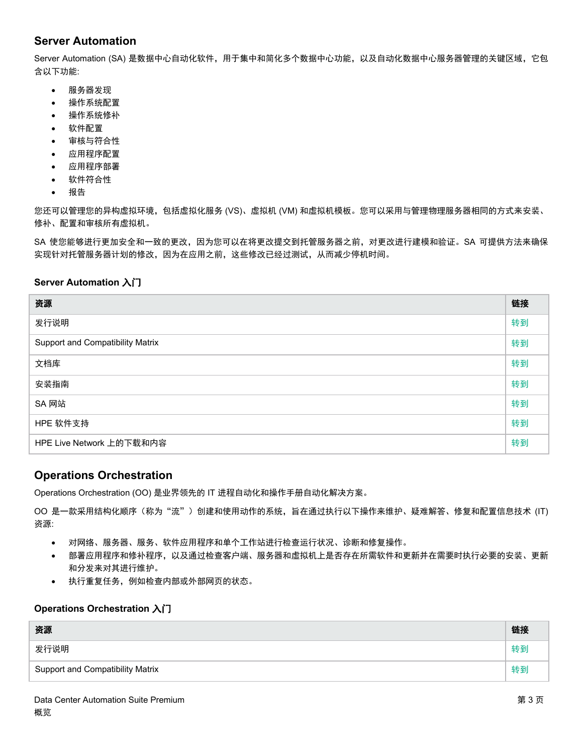### **Server Automation**

<span id="page-2-0"></span>Server Automation (SA) 是数据中心自动化软件,用于集中和简化多个数据中心功能,以及自动化数据中心服务器管理的关键区域,它包 含以下功能:

- 服务器发现
- 操作系统配置
- 操作系统修补
- 软件配置
- 审核与符合性
- 应用程序配置
- 应用程序部署
- 软件符合性
- 报告

您还可以管理您的异构虚拟环境,包括虚拟化服务 (VS)、虚拟机 (VM) 和虚拟机模板。您可以采用与管理物理服务器相同的方式来安装、 修补、配置和审核所有虚拟机。

SA 使您能够进行更加安全和一致的更改,因为您可以在将更改提交到托管服务器之前,对更改进行建模和验证。SA 可提供方法来确保 实现针对托管服务器计划的修改,因为在应用之前,这些修改已经过测试,从而减少停机时间。

#### <span id="page-2-1"></span>**Server Automation** 入门

| 资源                                      | 链接 |
|-----------------------------------------|----|
| 发行说明                                    | 转到 |
| <b>Support and Compatibility Matrix</b> | 转到 |
| 文档库                                     | 转到 |
| 安装指南                                    | 转到 |
| SA 网站                                   | 转到 |
| HPE 软件支持                                | 转到 |
| HPE Live Network 上的下载和内容                | 转到 |

#### <span id="page-2-2"></span>**Operations Orchestration**

Operations Orchestration (OO) 是业界领先的 IT 进程自动化和操作手册自动化解决方案。

OO 是一款采用结构化顺序(称为"流")创建和使用动作的系统,旨在通过执行以下操作来维护、疑难解答、修复和配置信息技术 (IT) 资源:

- 对网络、服务器、服务、软件应用程序和单个工作站进行检查运行状况、诊断和修复操作。
- 部署应用程序和修补程序,以及通过检查客户端、服务器和虚拟机上是否存在所需软件和更新并在需要时执行必要的安装、更新 和分发来对其进行维护。
- 执行重复任务,例如检查内部或外部网页的状态。

#### <span id="page-2-3"></span>**Operations Orchestration** 入门

| 资源                                      | 链接 |
|-----------------------------------------|----|
| 发行说明                                    | 转到 |
| <b>Support and Compatibility Matrix</b> | 转到 |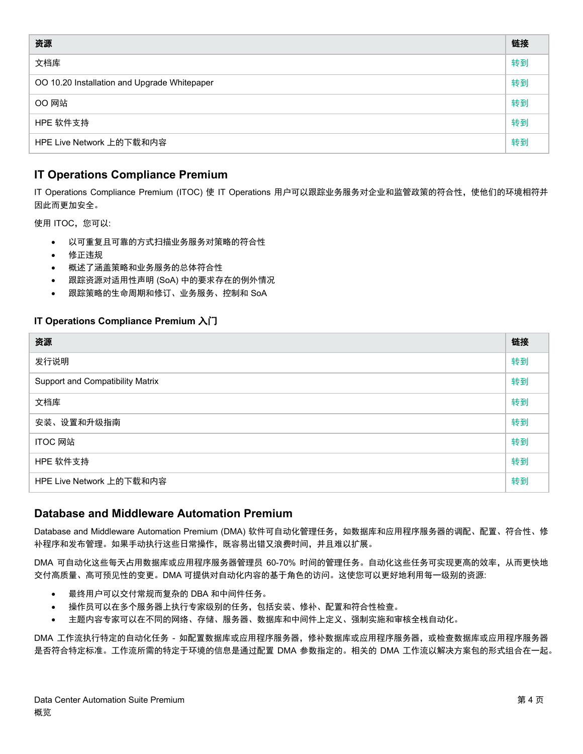| 资源                                           | 链接 |  |
|----------------------------------------------|----|--|
| 文档库                                          | 转到 |  |
| OO 10.20 Installation and Upgrade Whitepaper |    |  |
| <b>OO 网站</b>                                 | 转到 |  |
| HPE 软件支持                                     | 转到 |  |
| HPE Live Network 上的下载和内容                     | 转到 |  |

### <span id="page-3-0"></span>**IT Operations Compliance Premium**

IT Operations Compliance Premium (ITOC) 使 IT Operations 用户可以跟踪业务服务对企业和监管政策的符合性, 使他们的环境相符并 因此而更加安全。

使用 ITOC,您可以:

- 以可重复且可靠的方式扫描业务服务对策略的符合性
- 修正违规
- 概述了涵盖策略和业务服务的总体符合性
- 跟踪资源对适用性声明 (SoA) 中的要求存在的例外情况
- 跟踪策略的生命周期和修订、业务服务、控制和 SoA

#### <span id="page-3-1"></span>**IT Operations Compliance Premium** 入门

| 资源                               | 链接 |
|----------------------------------|----|
| 发行说明                             | 转到 |
| Support and Compatibility Matrix | 转到 |
| 文档库                              | 转到 |
| 安装、设置和升级指南                       | 转到 |
| ITOC 网站                          | 转到 |
| HPE 软件支持                         | 转到 |
| HPE Live Network 上的下载和内容         | 转到 |

#### <span id="page-3-2"></span>**Database and Middleware Automation Premium**

Database and Middleware Automation Premium (DMA) 软件可自动化管理任务,如数据库和应用程序服务器的调配、配置、符合性、修 补程序和发布管理。如果手动执行这些日常操作,既容易出错又浪费时间,并且难以扩展。

DMA 可自动化这些每天占用数据库或应用程序服务器管理员 60-70% 时间的管理任务。自动化这些任务可实现更高的效率,从而更快地 交付高质量、高可预见性的变更。DMA 可提供对自动化内容的基于角色的访问。这使您可以更好地利用每一级别的资源:

- 最终用户可以交付常规而复杂的 DBA 和中间件任务。
- 操作员可以在多个服务器上执行专家级别的任务,包括安装、修补、配置和符合性检查。
- 主题内容专家可以在不同的网络、存储、服务器、数据库和中间件上定义、强制实施和审核全栈自动化。

DMA 工作流执行特定的自动化任务 - 如配置数据库或应用程序服务器,修补数据库或应用程序服务器,或检查数据库或应用程序服务器 是否符合特定标准。工作流所需的特定于环境的信息是通过配置 DMA 参数指定的。相关的 DMA 工作流以解决方案包的形式组合在一起。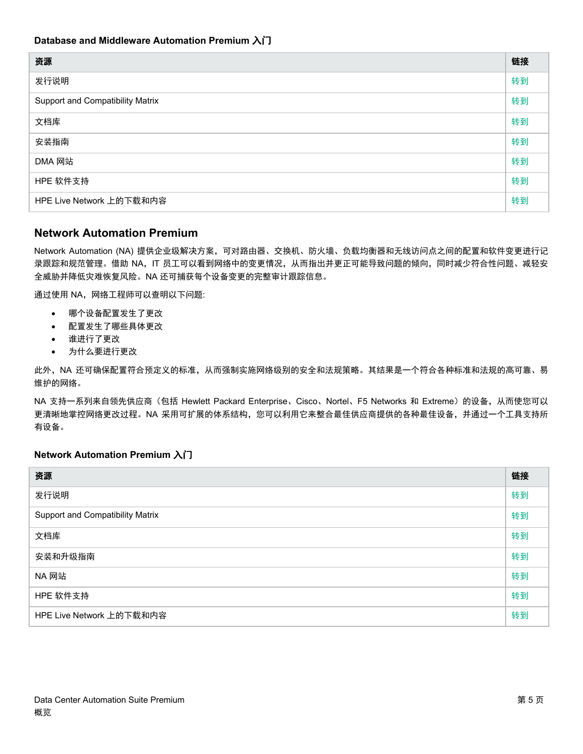<span id="page-4-0"></span>

| 资源                               | 链接 |
|----------------------------------|----|
| 发行说明                             | 转到 |
| Support and Compatibility Matrix | 转到 |
| 文档库                              | 转到 |
| 安装指南                             | 转到 |
| DMA 网站                           | 转到 |
| HPE 软件支持                         | 转到 |
| HPE Live Network 上的下载和内容         | 转到 |

#### <span id="page-4-1"></span>**Network Automation Premium**

Network Automation (NA) 提供企业级解决方案,可对路由器、交换机、防火墙、负载均衡器和无线访问点之间的配置和软件变更进行记 录跟踪和规范管理。借助 NA,IT 员工可以看到网络中的变更情况,从而指出并更正可能导致问题的倾向,同时减少符合性问题、减轻安 全威胁并降低灾难恢复风险。NA 还可捕获每个设备变更的完整审计跟踪信息。

通过使用 NA,网络工程师可以查明以下问题:

- 哪个设备配置发生了更改
- 配置发生了哪些具体更改
- 谁进行了更改
- 为什么要进行更改

此外,NA 还可确保配置符合预定义的标准,从而强制实施网络级别的安全和法规策略。其结果是一个符合各种标准和法规的高可靠、易 维护的网络。

NA 支持一系列来自领先供应商(包括 Hewlett Packard Enterprise、Cisco、Nortel、F5 Networks 和 Extreme)的设备,从而使您可以 更清晰地掌控网络更改过程。NA 采用可扩展的体系结构,您可以利用它来整合最佳供应商提供的各种最佳设备,并通过一个工具支持所 有设备。

#### <span id="page-4-2"></span>**Network Automation Premium** 入门

<span id="page-4-3"></span>

| 资源                               | 链接 |
|----------------------------------|----|
| 发行说明                             | 转到 |
| Support and Compatibility Matrix | 转到 |
| 文档库                              | 转到 |
| 安装和升级指南                          | 转到 |
| NA 网站                            | 转到 |
| HPE 软件支持                         | 转到 |
| HPE Live Network 上的下载和内容         | 转到 |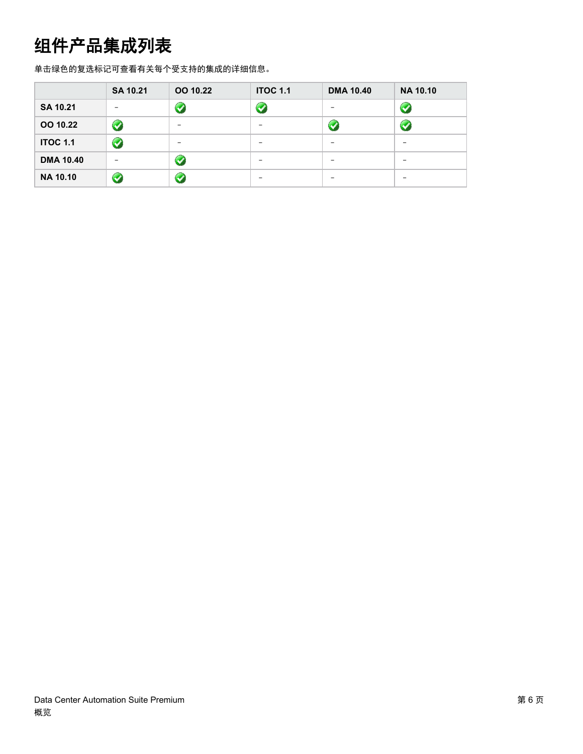## 组件产品集成列表

单击绿色的复选标记可查看有关每个受支持的集成的详细信息。

|                  | <b>SA 10.21</b> | OO 10.22 | <b>ITOC 1.1</b> | <b>DMA 10.40</b> | <b>NA 10.10</b>      |
|------------------|-----------------|----------|-----------------|------------------|----------------------|
| SA 10.21         |                 |          |                 |                  | $\blacktriangledown$ |
| OO 10.22         | $\bullet$       |          |                 |                  | $\blacktriangledown$ |
| <b>ITOC 1.1</b>  | $\bullet$       |          |                 |                  |                      |
| <b>DMA 10.40</b> |                 |          |                 |                  |                      |
| <b>NA 10.10</b>  | $\bigodot$      |          |                 |                  |                      |